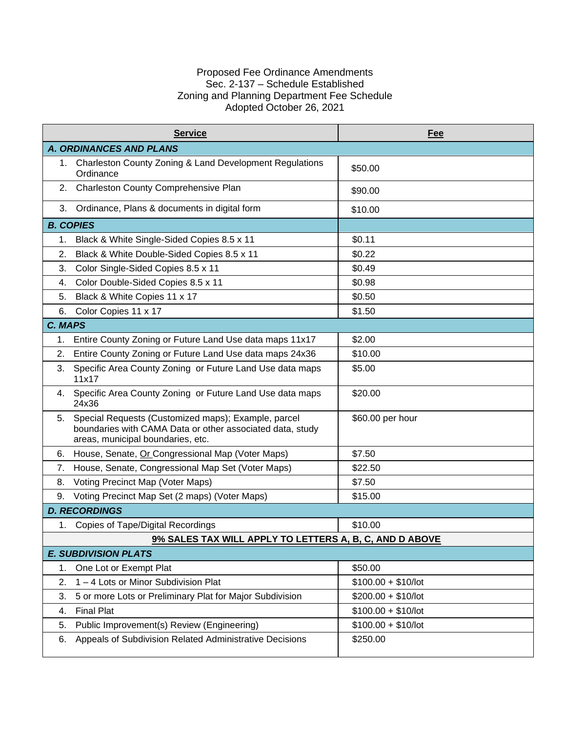## Proposed Fee Ordinance Amendments Sec. 2-137 – Schedule Established Zoning and Planning Department Fee Schedule Adopted October 26, 2021

|                  | <b>Service</b>                                                                                                                                        | Fee                  |
|------------------|-------------------------------------------------------------------------------------------------------------------------------------------------------|----------------------|
|                  | <b>A. ORDINANCES AND PLANS</b>                                                                                                                        |                      |
|                  | 1. Charleston County Zoning & Land Development Regulations<br>Ordinance                                                                               | \$50.00              |
| 2.               | Charleston County Comprehensive Plan                                                                                                                  | \$90.00              |
| 3.               | Ordinance, Plans & documents in digital form                                                                                                          | \$10.00              |
| <b>B. COPIES</b> |                                                                                                                                                       |                      |
| 1.               | Black & White Single-Sided Copies 8.5 x 11                                                                                                            | \$0.11               |
| 2.               | Black & White Double-Sided Copies 8.5 x 11                                                                                                            | \$0.22               |
| 3.               | Color Single-Sided Copies 8.5 x 11                                                                                                                    | \$0.49               |
| 4.               | Color Double-Sided Copies 8.5 x 11                                                                                                                    | \$0.98               |
| 5.               | Black & White Copies 11 x 17                                                                                                                          | \$0.50               |
| 6.               | Color Copies 11 x 17                                                                                                                                  | \$1.50               |
| C. MAPS          |                                                                                                                                                       |                      |
| 1.               | Entire County Zoning or Future Land Use data maps 11x17                                                                                               | \$2.00               |
| 2.               | Entire County Zoning or Future Land Use data maps 24x36                                                                                               | \$10.00              |
| 3.               | Specific Area County Zoning or Future Land Use data maps<br>11x17                                                                                     | \$5.00               |
| 4.               | Specific Area County Zoning or Future Land Use data maps<br>24x36                                                                                     | \$20.00              |
| 5.               | Special Requests (Customized maps); Example, parcel<br>boundaries with CAMA Data or other associated data, study<br>areas, municipal boundaries, etc. | \$60.00 per hour     |
| 6.               | House, Senate, Or Congressional Map (Voter Maps)                                                                                                      | \$7.50               |
| 7.               | House, Senate, Congressional Map Set (Voter Maps)                                                                                                     | \$22.50              |
| 8.               | Voting Precinct Map (Voter Maps)                                                                                                                      | \$7.50               |
| 9.               | Voting Precinct Map Set (2 maps) (Voter Maps)                                                                                                         | \$15.00              |
|                  | <b>D. RECORDINGS</b>                                                                                                                                  |                      |
| 1.               | Copies of Tape/Digital Recordings                                                                                                                     | \$10.00              |
|                  | 9% SALES TAX WILL APPLY TO LETTERS A, B, C, AND D ABOVE                                                                                               |                      |
|                  | <b>E. SUBDIVISION PLATS</b>                                                                                                                           |                      |
| 1.               | One Lot or Exempt Plat                                                                                                                                | \$50.00              |
| 2.               | 1-4 Lots or Minor Subdivision Plat                                                                                                                    | $$100.00 + $10/$ lot |
| 3.               | 5 or more Lots or Preliminary Plat for Major Subdivision                                                                                              | $$200.00 + $10/$ lot |
| 4.               | <b>Final Plat</b>                                                                                                                                     | $$100.00 + $10/$ lot |
| 5.               | Public Improvement(s) Review (Engineering)                                                                                                            | $$100.00 + $10/$ lot |
| 6.               | Appeals of Subdivision Related Administrative Decisions                                                                                               | \$250.00             |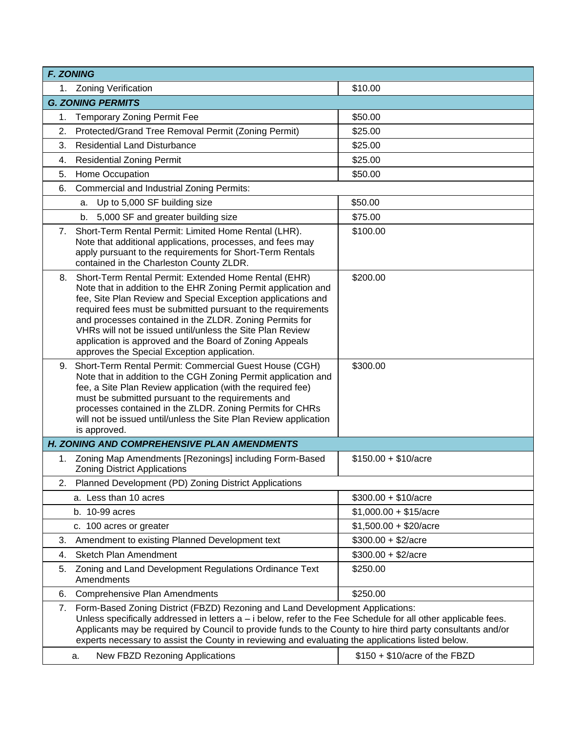|                                                                                                                                                                                                                                                                                                                                                                                                                           | <b>F. ZONING</b>                                                                                                                                                                                                                                                                                                                                                                                                                                                                            |                                |  |
|---------------------------------------------------------------------------------------------------------------------------------------------------------------------------------------------------------------------------------------------------------------------------------------------------------------------------------------------------------------------------------------------------------------------------|---------------------------------------------------------------------------------------------------------------------------------------------------------------------------------------------------------------------------------------------------------------------------------------------------------------------------------------------------------------------------------------------------------------------------------------------------------------------------------------------|--------------------------------|--|
|                                                                                                                                                                                                                                                                                                                                                                                                                           | 1. Zoning Verification                                                                                                                                                                                                                                                                                                                                                                                                                                                                      | \$10.00                        |  |
|                                                                                                                                                                                                                                                                                                                                                                                                                           | <b>G. ZONING PERMITS</b>                                                                                                                                                                                                                                                                                                                                                                                                                                                                    |                                |  |
| 1.                                                                                                                                                                                                                                                                                                                                                                                                                        | <b>Temporary Zoning Permit Fee</b>                                                                                                                                                                                                                                                                                                                                                                                                                                                          | \$50.00                        |  |
| 2.                                                                                                                                                                                                                                                                                                                                                                                                                        | Protected/Grand Tree Removal Permit (Zoning Permit)                                                                                                                                                                                                                                                                                                                                                                                                                                         | \$25.00                        |  |
| 3.                                                                                                                                                                                                                                                                                                                                                                                                                        | <b>Residential Land Disturbance</b>                                                                                                                                                                                                                                                                                                                                                                                                                                                         | \$25.00                        |  |
| 4.                                                                                                                                                                                                                                                                                                                                                                                                                        | <b>Residential Zoning Permit</b>                                                                                                                                                                                                                                                                                                                                                                                                                                                            | \$25.00                        |  |
| 5.                                                                                                                                                                                                                                                                                                                                                                                                                        | Home Occupation                                                                                                                                                                                                                                                                                                                                                                                                                                                                             | \$50.00                        |  |
| 6.                                                                                                                                                                                                                                                                                                                                                                                                                        | <b>Commercial and Industrial Zoning Permits:</b>                                                                                                                                                                                                                                                                                                                                                                                                                                            |                                |  |
|                                                                                                                                                                                                                                                                                                                                                                                                                           | Up to 5,000 SF building size<br>a.                                                                                                                                                                                                                                                                                                                                                                                                                                                          | \$50.00                        |  |
|                                                                                                                                                                                                                                                                                                                                                                                                                           | 5,000 SF and greater building size<br>b.                                                                                                                                                                                                                                                                                                                                                                                                                                                    | \$75.00                        |  |
| 7.                                                                                                                                                                                                                                                                                                                                                                                                                        | Short-Term Rental Permit: Limited Home Rental (LHR).<br>Note that additional applications, processes, and fees may<br>apply pursuant to the requirements for Short-Term Rentals<br>contained in the Charleston County ZLDR.                                                                                                                                                                                                                                                                 | \$100.00                       |  |
|                                                                                                                                                                                                                                                                                                                                                                                                                           | 8. Short-Term Rental Permit: Extended Home Rental (EHR)<br>Note that in addition to the EHR Zoning Permit application and<br>fee, Site Plan Review and Special Exception applications and<br>required fees must be submitted pursuant to the requirements<br>and processes contained in the ZLDR. Zoning Permits for<br>VHRs will not be issued until/unless the Site Plan Review<br>application is approved and the Board of Zoning Appeals<br>approves the Special Exception application. | \$200.00                       |  |
|                                                                                                                                                                                                                                                                                                                                                                                                                           | 9. Short-Term Rental Permit: Commercial Guest House (CGH)<br>Note that in addition to the CGH Zoning Permit application and<br>fee, a Site Plan Review application (with the required fee)<br>must be submitted pursuant to the requirements and<br>processes contained in the ZLDR. Zoning Permits for CHRs<br>will not be issued until/unless the Site Plan Review application<br>is approved.                                                                                            | \$300.00                       |  |
|                                                                                                                                                                                                                                                                                                                                                                                                                           | H. ZONING AND COMPREHENSIVE PLAN AMENDMENTS                                                                                                                                                                                                                                                                                                                                                                                                                                                 |                                |  |
| 1.                                                                                                                                                                                                                                                                                                                                                                                                                        | Zoning Map Amendments [Rezonings] including Form-Based<br><b>Zoning District Applications</b>                                                                                                                                                                                                                                                                                                                                                                                               | $$150.00 + $10/ \text{acre}$   |  |
| 2.                                                                                                                                                                                                                                                                                                                                                                                                                        | Planned Development (PD) Zoning District Applications                                                                                                                                                                                                                                                                                                                                                                                                                                       |                                |  |
|                                                                                                                                                                                                                                                                                                                                                                                                                           | a. Less than 10 acres                                                                                                                                                                                                                                                                                                                                                                                                                                                                       | $$300.00 + $10/ \text{acre}$   |  |
|                                                                                                                                                                                                                                                                                                                                                                                                                           | b. 10-99 acres                                                                                                                                                                                                                                                                                                                                                                                                                                                                              | $$1,000.00 + $15/acre$         |  |
|                                                                                                                                                                                                                                                                                                                                                                                                                           | c. 100 acres or greater                                                                                                                                                                                                                                                                                                                                                                                                                                                                     | $$1,500.00 + $20/acre$         |  |
| 3.                                                                                                                                                                                                                                                                                                                                                                                                                        | Amendment to existing Planned Development text                                                                                                                                                                                                                                                                                                                                                                                                                                              | $$300.00 + $2/ \text{acre}$    |  |
| 4.                                                                                                                                                                                                                                                                                                                                                                                                                        | <b>Sketch Plan Amendment</b>                                                                                                                                                                                                                                                                                                                                                                                                                                                                | $$300.00 + $2/acre$            |  |
| 5.                                                                                                                                                                                                                                                                                                                                                                                                                        | Zoning and Land Development Regulations Ordinance Text<br>Amendments                                                                                                                                                                                                                                                                                                                                                                                                                        | \$250.00                       |  |
| 6.                                                                                                                                                                                                                                                                                                                                                                                                                        | <b>Comprehensive Plan Amendments</b>                                                                                                                                                                                                                                                                                                                                                                                                                                                        | \$250.00                       |  |
| Form-Based Zoning District (FBZD) Rezoning and Land Development Applications:<br>7.<br>Unless specifically addressed in letters a - i below, refer to the Fee Schedule for all other applicable fees.<br>Applicants may be required by Council to provide funds to the County to hire third party consultants and/or<br>experts necessary to assist the County in reviewing and evaluating the applications listed below. |                                                                                                                                                                                                                                                                                                                                                                                                                                                                                             |                                |  |
|                                                                                                                                                                                                                                                                                                                                                                                                                           | New FBZD Rezoning Applications<br>a.                                                                                                                                                                                                                                                                                                                                                                                                                                                        | $$150 + $10/$ acre of the FBZD |  |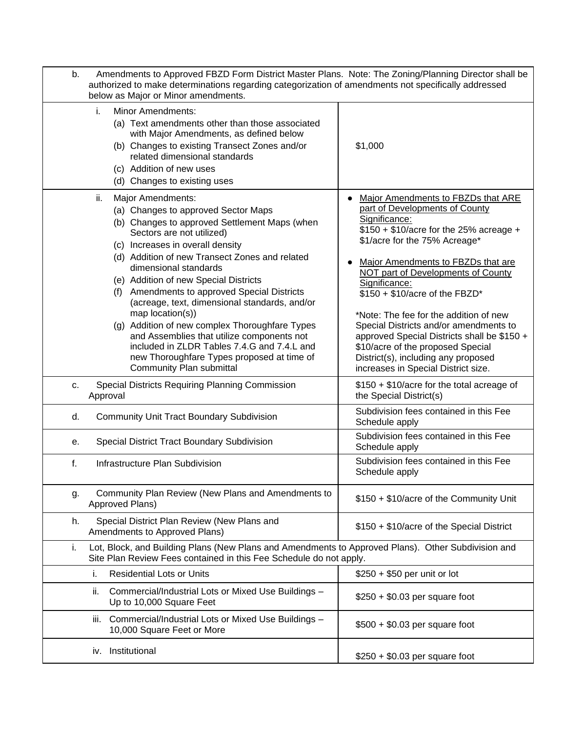| b. | Amendments to Approved FBZD Form District Master Plans. Note: The Zoning/Planning Director shall be<br>authorized to make determinations regarding categorization of amendments not specifically addressed<br>below as Major or Minor amendments.                                                                                                                                                                                                                                                                                                                                                                                                   |                                                                                                                                                                                                                                                                                                                                                                                                                                                                                                                                                          |
|----|-----------------------------------------------------------------------------------------------------------------------------------------------------------------------------------------------------------------------------------------------------------------------------------------------------------------------------------------------------------------------------------------------------------------------------------------------------------------------------------------------------------------------------------------------------------------------------------------------------------------------------------------------------|----------------------------------------------------------------------------------------------------------------------------------------------------------------------------------------------------------------------------------------------------------------------------------------------------------------------------------------------------------------------------------------------------------------------------------------------------------------------------------------------------------------------------------------------------------|
|    | <b>Minor Amendments:</b><br>i.<br>(a) Text amendments other than those associated<br>with Major Amendments, as defined below<br>(b) Changes to existing Transect Zones and/or<br>related dimensional standards<br>(c) Addition of new uses<br>(d) Changes to existing uses                                                                                                                                                                                                                                                                                                                                                                          | \$1,000                                                                                                                                                                                                                                                                                                                                                                                                                                                                                                                                                  |
|    | Major Amendments:<br>ii.<br>(a) Changes to approved Sector Maps<br>(b) Changes to approved Settlement Maps (when<br>Sectors are not utilized)<br>(c) Increases in overall density<br>(d) Addition of new Transect Zones and related<br>dimensional standards<br>(e) Addition of new Special Districts<br>(f) Amendments to approved Special Districts<br>(acreage, text, dimensional standards, and/or<br>map location(s))<br>(g) Addition of new complex Thoroughfare Types<br>and Assemblies that utilize components not<br>included in ZLDR Tables 7.4.G and 7.4.L and<br>new Thoroughfare Types proposed at time of<br>Community Plan submittal | Major Amendments to FBZDs that ARE<br>part of Developments of County<br>Significance:<br>$$150 + $10/$ acre for the 25% acreage +<br>\$1/acre for the 75% Acreage*<br>Major Amendments to FBZDs that are<br>NOT part of Developments of County<br>Significance:<br>$$150 + $10/$ acre of the FBZD*<br>*Note: The fee for the addition of new<br>Special Districts and/or amendments to<br>approved Special Districts shall be \$150 +<br>\$10/acre of the proposed Special<br>District(s), including any proposed<br>increases in Special District size. |
| c. | Special Districts Requiring Planning Commission<br>Approval                                                                                                                                                                                                                                                                                                                                                                                                                                                                                                                                                                                         | \$150 + \$10/acre for the total acreage of<br>the Special District(s)                                                                                                                                                                                                                                                                                                                                                                                                                                                                                    |
| d. | <b>Community Unit Tract Boundary Subdivision</b>                                                                                                                                                                                                                                                                                                                                                                                                                                                                                                                                                                                                    | Subdivision fees contained in this Fee<br>Schedule apply                                                                                                                                                                                                                                                                                                                                                                                                                                                                                                 |
| е. | Special District Tract Boundary Subdivision                                                                                                                                                                                                                                                                                                                                                                                                                                                                                                                                                                                                         | Subdivision fees contained in this Fee<br>Schedule apply                                                                                                                                                                                                                                                                                                                                                                                                                                                                                                 |
| f. | Infrastructure Plan Subdivision                                                                                                                                                                                                                                                                                                                                                                                                                                                                                                                                                                                                                     | Subdivision fees contained in this Fee<br>Schedule apply                                                                                                                                                                                                                                                                                                                                                                                                                                                                                                 |
| g. | Community Plan Review (New Plans and Amendments to<br>Approved Plans)                                                                                                                                                                                                                                                                                                                                                                                                                                                                                                                                                                               | \$150 + \$10/acre of the Community Unit                                                                                                                                                                                                                                                                                                                                                                                                                                                                                                                  |
| h. | Special District Plan Review (New Plans and<br>Amendments to Approved Plans)                                                                                                                                                                                                                                                                                                                                                                                                                                                                                                                                                                        | \$150 + \$10/acre of the Special District                                                                                                                                                                                                                                                                                                                                                                                                                                                                                                                |
| i. | Lot, Block, and Building Plans (New Plans and Amendments to Approved Plans). Other Subdivision and<br>Site Plan Review Fees contained in this Fee Schedule do not apply.                                                                                                                                                                                                                                                                                                                                                                                                                                                                            |                                                                                                                                                                                                                                                                                                                                                                                                                                                                                                                                                          |
|    | <b>Residential Lots or Units</b><br>i.                                                                                                                                                                                                                                                                                                                                                                                                                                                                                                                                                                                                              | $$250 + $50$ per unit or lot                                                                                                                                                                                                                                                                                                                                                                                                                                                                                                                             |
|    | ii.<br>Commercial/Industrial Lots or Mixed Use Buildings -<br>Up to 10,000 Square Feet                                                                                                                                                                                                                                                                                                                                                                                                                                                                                                                                                              | $$250 + $0.03$ per square foot                                                                                                                                                                                                                                                                                                                                                                                                                                                                                                                           |
|    | Commercial/Industrial Lots or Mixed Use Buildings -<br>Ш.<br>10,000 Square Feet or More                                                                                                                                                                                                                                                                                                                                                                                                                                                                                                                                                             | $$500 + $0.03$ per square foot                                                                                                                                                                                                                                                                                                                                                                                                                                                                                                                           |
|    | Institutional<br>İV.                                                                                                                                                                                                                                                                                                                                                                                                                                                                                                                                                                                                                                | $$250 + $0.03$ per square foot                                                                                                                                                                                                                                                                                                                                                                                                                                                                                                                           |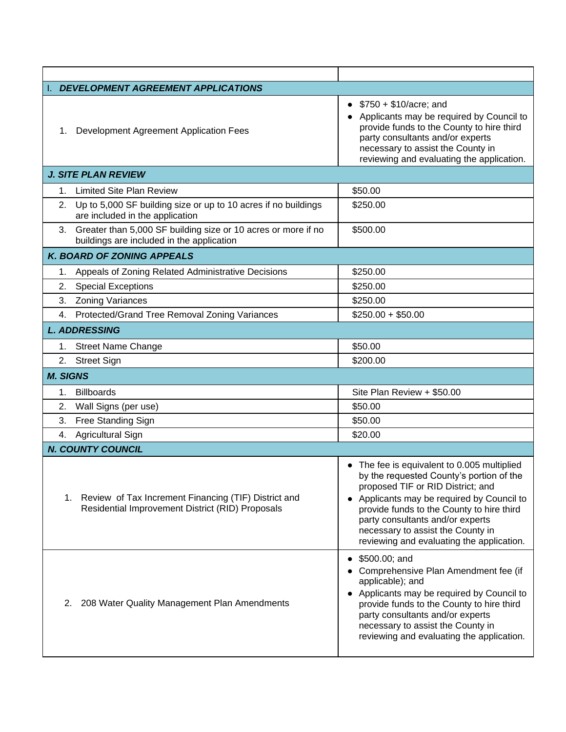| <b>DEVELOPMENT AGREEMENT APPLICATIONS</b> |                                                                                                               |                                                                                                                                                                                                                                                                                                                                             |  |  |
|-------------------------------------------|---------------------------------------------------------------------------------------------------------------|---------------------------------------------------------------------------------------------------------------------------------------------------------------------------------------------------------------------------------------------------------------------------------------------------------------------------------------------|--|--|
| 1.                                        | Development Agreement Application Fees                                                                        | • $$750 + $10/a$ cre; and<br>Applicants may be required by Council to<br>provide funds to the County to hire third<br>party consultants and/or experts<br>necessary to assist the County in<br>reviewing and evaluating the application.                                                                                                    |  |  |
|                                           | <b>J. SITE PLAN REVIEW</b>                                                                                    |                                                                                                                                                                                                                                                                                                                                             |  |  |
|                                           | 1. Limited Site Plan Review                                                                                   | \$50.00                                                                                                                                                                                                                                                                                                                                     |  |  |
|                                           | 2. Up to 5,000 SF building size or up to 10 acres if no buildings<br>are included in the application          | \$250.00                                                                                                                                                                                                                                                                                                                                    |  |  |
|                                           | 3. Greater than 5,000 SF building size or 10 acres or more if no<br>buildings are included in the application | \$500.00                                                                                                                                                                                                                                                                                                                                    |  |  |
|                                           | <b>K. BOARD OF ZONING APPEALS</b>                                                                             |                                                                                                                                                                                                                                                                                                                                             |  |  |
| 1.                                        | Appeals of Zoning Related Administrative Decisions                                                            | \$250.00                                                                                                                                                                                                                                                                                                                                    |  |  |
| 2.                                        | <b>Special Exceptions</b>                                                                                     | \$250.00                                                                                                                                                                                                                                                                                                                                    |  |  |
| 3.                                        | <b>Zoning Variances</b>                                                                                       | \$250.00                                                                                                                                                                                                                                                                                                                                    |  |  |
| 4.                                        | Protected/Grand Tree Removal Zoning Variances                                                                 | $$250.00 + $50.00$                                                                                                                                                                                                                                                                                                                          |  |  |
|                                           | <b>L. ADDRESSING</b>                                                                                          |                                                                                                                                                                                                                                                                                                                                             |  |  |
|                                           | 1. Street Name Change                                                                                         | \$50.00                                                                                                                                                                                                                                                                                                                                     |  |  |
|                                           | 2. Street Sign                                                                                                | \$200.00                                                                                                                                                                                                                                                                                                                                    |  |  |
| <b>M. SIGNS</b>                           |                                                                                                               |                                                                                                                                                                                                                                                                                                                                             |  |  |
| 1.                                        | <b>Billboards</b>                                                                                             | Site Plan Review + \$50.00                                                                                                                                                                                                                                                                                                                  |  |  |
| 2.                                        | Wall Signs (per use)                                                                                          | \$50.00                                                                                                                                                                                                                                                                                                                                     |  |  |
| 3.                                        | Free Standing Sign                                                                                            | \$50.00                                                                                                                                                                                                                                                                                                                                     |  |  |
| 4.                                        | Agricultural Sign                                                                                             | \$20.00                                                                                                                                                                                                                                                                                                                                     |  |  |
|                                           | <b>N. COUNTY COUNCIL</b>                                                                                      |                                                                                                                                                                                                                                                                                                                                             |  |  |
|                                           | 1. Review of Tax Increment Financing (TIF) District and<br>Residential Improvement District (RID) Proposals   | • The fee is equivalent to 0.005 multiplied<br>by the requested County's portion of the<br>proposed TIF or RID District; and<br>Applicants may be required by Council to<br>provide funds to the County to hire third<br>party consultants and/or experts<br>necessary to assist the County in<br>reviewing and evaluating the application. |  |  |
| 2.                                        | 208 Water Quality Management Plan Amendments                                                                  | \$500.00; and<br>$\bullet$<br>Comprehensive Plan Amendment fee (if<br>applicable); and<br>Applicants may be required by Council to<br>provide funds to the County to hire third<br>party consultants and/or experts<br>necessary to assist the County in<br>reviewing and evaluating the application.                                       |  |  |